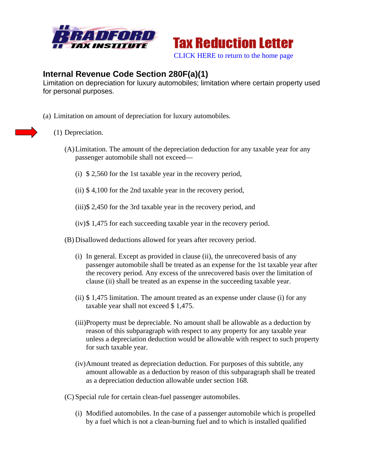



## **Internal Revenue Code Section 280F(a)(1)**

Limitation on depreciation for luxury automobiles; limitation where certain property used for personal purposes.

- (a) Limitation on amount of depreciation for luxury automobiles.
	- (1) Depreciation.
		- (A)Limitation. The amount of the depreciation deduction for any taxable year for any passenger automobile shall not exceed—
			- (i) \$ 2,560 for the 1st taxable year in the recovery period,
			- (ii) \$ 4,100 for the 2nd taxable year in the recovery period,

(iii)\$ 2,450 for the 3rd taxable year in the recovery period, and

- (iv)\$ 1,475 for each succeeding taxable year in the recovery period.
- (B) Disallowed deductions allowed for years after recovery period.
	- (i) In general. Except as provided in clause (ii), the unrecovered basis of any passenger automobile shall be treated as an expense for the 1st taxable year after the recovery period. Any excess of the unrecovered basis over the limitation of clause (ii) shall be treated as an expense in the succeeding taxable year.
	- (ii) \$ 1,475 limitation. The amount treated as an expense under clause (i) for any taxable year shall not exceed \$ 1,475.
	- (iii)Property must be depreciable. No amount shall be allowable as a deduction by reason of this subparagraph with respect to any property for any taxable year unless a depreciation deduction would be allowable with respect to such property for such taxable year.
	- (iv)Amount treated as depreciation deduction. For purposes of this subtitle, any amount allowable as a deduction by reason of this subparagraph shall be treated as a depreciation deduction allowable under section 168.

(C) Special rule for certain clean-fuel passenger automobiles.

(i) Modified automobiles. In the case of a passenger automobile which is propelled by a fuel which is not a clean-burning fuel and to which is installed qualified